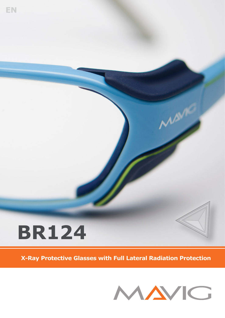

**EN**

**X-Ray Protective Glasses with Full Lateral Radiation Protection**



**ASME**